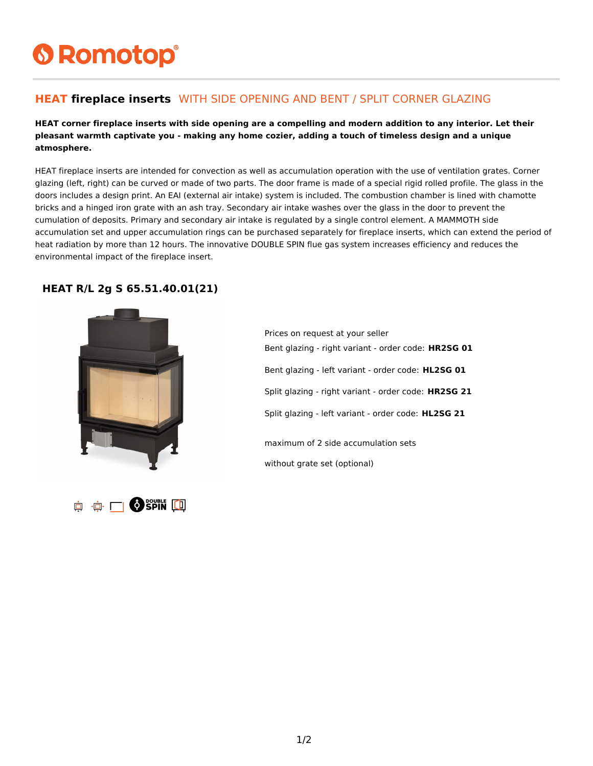# **6 Romotop®**

### **HEAT fireplace inserts** WITH SIDE OPENING AND BENT / SPLIT CORNER GLAZING

#### **HEAT corner fireplace inserts with side opening are a compelling and modern addition to any interior. Let their pleasant warmth captivate you - making any home cozier, adding a touch of timeless design and a unique atmosphere.**

HEAT fireplace inserts are intended for convection as well as accumulation operation with the use of ventilation grates. Corner glazing (left, right) can be curved or made of two parts. The door frame is made of a special rigid rolled profile. The glass in the doors includes a design print. An EAI (external air intake) system is included. The combustion chamber is lined with chamotte bricks and a hinged iron grate with an ash tray. Secondary air intake washes over the glass in the door to prevent the cumulation of deposits. Primary and secondary air intake is regulated by a single control element. A MAMMOTH side accumulation set and upper accumulation rings can be purchased separately for fireplace inserts, which can extend the period of heat radiation by more than 12 hours. The innovative DOUBLE SPIN flue gas system increases efficiency and reduces the environmental impact of the fireplace insert.

#### **HEAT R/L 2g S 65.51.40.01(21)**





Prices on request at your seller Bent glazing - right variant - order code: **HR2SG 01** Bent glazing - left variant - order code: **HL2SG 01** Split glazing - right variant - order code: **HR2SG 21** Split glazing - left variant - order code: **HL2SG 21** maximum of 2 side accumulation sets without grate set (optional)